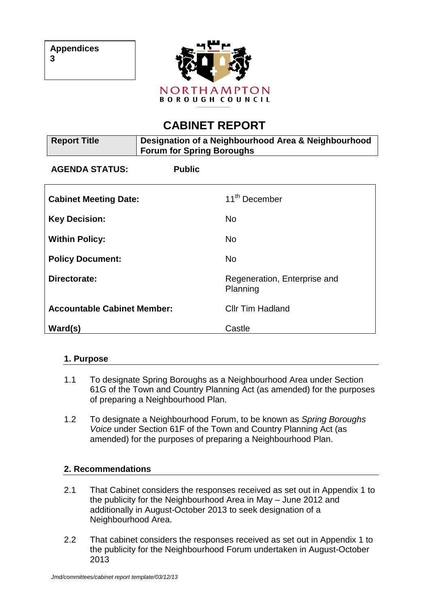

# **CABINET REPORT**

| <b>Report Title</b>                | Designation of a Neighbourhood Area & Neighbourhood<br><b>Forum for Spring Boroughs</b> |                                          |
|------------------------------------|-----------------------------------------------------------------------------------------|------------------------------------------|
| <b>AGENDA STATUS:</b>              | <b>Public</b>                                                                           |                                          |
| <b>Cabinet Meeting Date:</b>       |                                                                                         | 11 <sup>th</sup> December                |
| <b>Key Decision:</b>               |                                                                                         | <b>No</b>                                |
| <b>Within Policy:</b>              |                                                                                         | <b>No</b>                                |
| <b>Policy Document:</b>            |                                                                                         | <b>No</b>                                |
| Directorate:                       |                                                                                         | Regeneration, Enterprise and<br>Planning |
| <b>Accountable Cabinet Member:</b> |                                                                                         | <b>Cllr Tim Hadland</b>                  |
| Ward(s)                            |                                                                                         | Castle                                   |

# **1. Purpose**

- 1.1 To designate Spring Boroughs as a Neighbourhood Area under Section 61G of the Town and Country Planning Act (as amended) for the purposes of preparing a Neighbourhood Plan.
- 1.2 To designate a Neighbourhood Forum, to be known as *Spring Boroughs Voice* under Section 61F of the Town and Country Planning Act (as amended) for the purposes of preparing a Neighbourhood Plan.

# **2. Recommendations**

- 2.1 That Cabinet considers the responses received as set out in Appendix 1 to the publicity for the Neighbourhood Area in May – June 2012 and additionally in August-October 2013 to seek designation of a Neighbourhood Area.
- 2.2 That cabinet considers the responses received as set out in Appendix 1 to the publicity for the Neighbourhood Forum undertaken in August-October 2013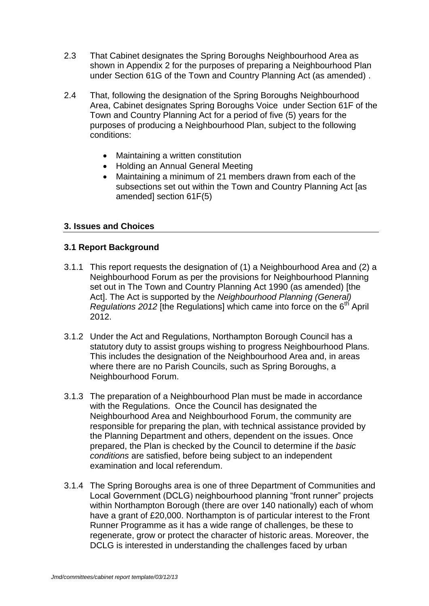- 2.3 That Cabinet designates the Spring Boroughs Neighbourhood Area as shown in Appendix 2 for the purposes of preparing a Neighbourhood Plan under Section 61G of the Town and Country Planning Act (as amended) .
- 2.4 That, following the designation of the Spring Boroughs Neighbourhood Area, Cabinet designates Spring Boroughs Voice under Section 61F of the Town and Country Planning Act for a period of five (5) years for the purposes of producing a Neighbourhood Plan, subject to the following conditions:
	- Maintaining a written constitution
	- Holding an Annual General Meeting
	- Maintaining a minimum of 21 members drawn from each of the subsections set out within the Town and Country Planning Act [as amended] section 61F(5)

### **3. Issues and Choices**

### **3.1 Report Background**

- 3.1.1 This report requests the designation of (1) a Neighbourhood Area and (2) a Neighbourhood Forum as per the provisions for Neighbourhood Planning set out in The Town and Country Planning Act 1990 (as amended) [the Act]. The Act is supported by the *Neighbourhood Planning (General) Regulations 2012* [the Regulations] which came into force on the 6<sup>th</sup> April 2012.
- 3.1.2 Under the Act and Regulations, Northampton Borough Council has a statutory duty to assist groups wishing to progress Neighbourhood Plans. This includes the designation of the Neighbourhood Area and, in areas where there are no Parish Councils, such as Spring Boroughs, a Neighbourhood Forum.
- 3.1.3 The preparation of a Neighbourhood Plan must be made in accordance with the Regulations. Once the Council has designated the Neighbourhood Area and Neighbourhood Forum, the community are responsible for preparing the plan, with technical assistance provided by the Planning Department and others, dependent on the issues. Once prepared, the Plan is checked by the Council to determine if the *basic conditions* are satisfied, before being subject to an independent examination and local referendum.
- 3.1.4 The Spring Boroughs area is one of three Department of Communities and Local Government (DCLG) neighbourhood planning "front runner" projects within Northampton Borough (there are over 140 nationally) each of whom have a grant of £20,000. Northampton is of particular interest to the Front Runner Programme as it has a wide range of challenges, be these to regenerate, grow or protect the character of historic areas. Moreover, the DCLG is interested in understanding the challenges faced by urban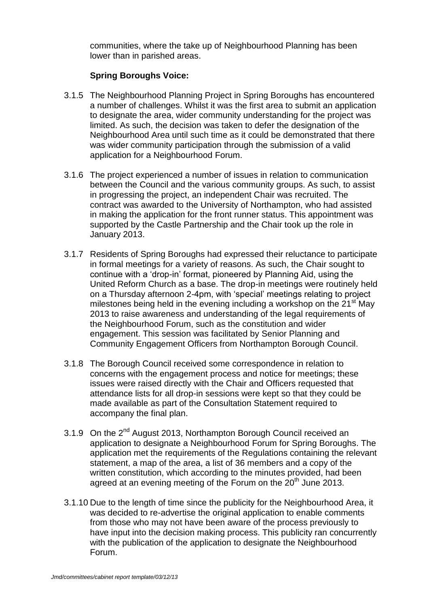communities, where the take up of Neighbourhood Planning has been lower than in parished areas.

## **Spring Boroughs Voice:**

- 3.1.5 The Neighbourhood Planning Project in Spring Boroughs has encountered a number of challenges. Whilst it was the first area to submit an application to designate the area, wider community understanding for the project was limited. As such, the decision was taken to defer the designation of the Neighbourhood Area until such time as it could be demonstrated that there was wider community participation through the submission of a valid application for a Neighbourhood Forum.
- 3.1.6 The project experienced a number of issues in relation to communication between the Council and the various community groups. As such, to assist in progressing the project, an independent Chair was recruited. The contract was awarded to the University of Northampton, who had assisted in making the application for the front runner status. This appointment was supported by the Castle Partnership and the Chair took up the role in January 2013.
- 3.1.7 Residents of Spring Boroughs had expressed their reluctance to participate in formal meetings for a variety of reasons. As such, the Chair sought to continue with a "drop-in" format, pioneered by Planning Aid, using the United Reform Church as a base. The drop-in meetings were routinely held on a Thursday afternoon 2-4pm, with "special" meetings relating to project milestones being held in the evening including a workshop on the  $21<sup>st</sup>$  May 2013 to raise awareness and understanding of the legal requirements of the Neighbourhood Forum, such as the constitution and wider engagement. This session was facilitated by Senior Planning and Community Engagement Officers from Northampton Borough Council.
- 3.1.8 The Borough Council received some correspondence in relation to concerns with the engagement process and notice for meetings; these issues were raised directly with the Chair and Officers requested that attendance lists for all drop-in sessions were kept so that they could be made available as part of the Consultation Statement required to accompany the final plan.
- 3.1.9 On the 2<sup>nd</sup> August 2013, Northampton Borough Council received an application to designate a Neighbourhood Forum for Spring Boroughs. The application met the requirements of the Regulations containing the relevant statement, a map of the area, a list of 36 members and a copy of the written constitution, which according to the minutes provided, had been agreed at an evening meeting of the Forum on the  $20<sup>th</sup>$  June 2013.
- 3.1.10 Due to the length of time since the publicity for the Neighbourhood Area, it was decided to re-advertise the original application to enable comments from those who may not have been aware of the process previously to have input into the decision making process. This publicity ran concurrently with the publication of the application to designate the Neighbourhood Forum.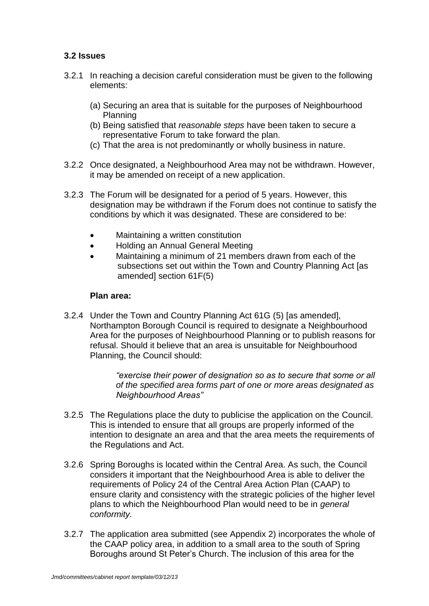## **3.2 Issues**

- 3.2.1 In reaching a decision careful consideration must be given to the following elements:
	- (a) Securing an area that is suitable for the purposes of Neighbourhood Planning
	- (b) Being satisfied that *reasonable steps* have been taken to secure a representative Forum to take forward the plan.
	- (c) That the area is not predominantly or wholly business in nature.
- 3.2.2 Once designated, a Neighbourhood Area may not be withdrawn. However, it may be amended on receipt of a new application.
- 3.2.3 The Forum will be designated for a period of 5 years. However, this designation may be withdrawn if the Forum does not continue to satisfy the conditions by which it was designated. These are considered to be:
	- Maintaining a written constitution
	- Holding an Annual General Meeting
	- Maintaining a minimum of 21 members drawn from each of the subsections set out within the Town and Country Planning Act [as amended] section 61F(5)

#### **Plan area:**

3.2.4 Under the Town and Country Planning Act 61G (5) [as amended], Northampton Borough Council is required to designate a Neighbourhood Area for the purposes of Neighbourhood Planning or to publish reasons for refusal. Should it believe that an area is unsuitable for Neighbourhood Planning, the Council should:

> *"exercise their power of designation so as to secure that some or all of the specified area forms part of one or more areas designated as Neighbourhood Areas"*

- 3.2.5 The Regulations place the duty to publicise the application on the Council. This is intended to ensure that all groups are properly informed of the intention to designate an area and that the area meets the requirements of the Regulations and Act.
- 3.2.6 Spring Boroughs is located within the Central Area. As such, the Council considers it important that the Neighbourhood Area is able to deliver the requirements of Policy 24 of the Central Area Action Plan (CAAP) to ensure clarity and consistency with the strategic policies of the higher level plans to which the Neighbourhood Plan would need to be in *general conformity.*
- 3.2.7 The application area submitted (see Appendix 2) incorporates the whole of the CAAP policy area, in addition to a small area to the south of Spring Boroughs around St Peter"s Church. The inclusion of this area for the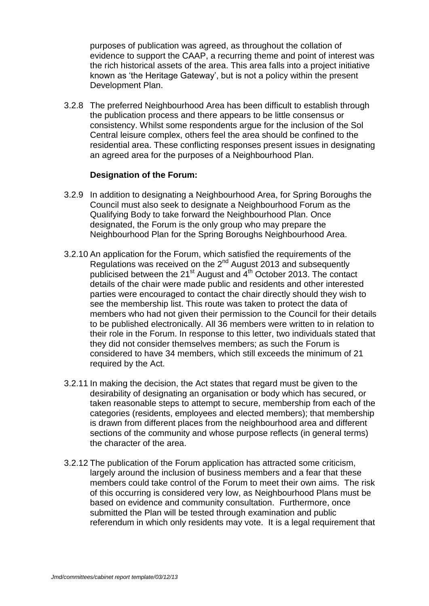purposes of publication was agreed, as throughout the collation of evidence to support the CAAP, a recurring theme and point of interest was the rich historical assets of the area. This area falls into a project initiative known as "the Heritage Gateway", but is not a policy within the present Development Plan.

3.2.8 The preferred Neighbourhood Area has been difficult to establish through the publication process and there appears to be little consensus or consistency. Whilst some respondents argue for the inclusion of the Sol Central leisure complex, others feel the area should be confined to the residential area. These conflicting responses present issues in designating an agreed area for the purposes of a Neighbourhood Plan.

### **Designation of the Forum:**

- 3.2.9 In addition to designating a Neighbourhood Area, for Spring Boroughs the Council must also seek to designate a Neighbourhood Forum as the Qualifying Body to take forward the Neighbourhood Plan. Once designated, the Forum is the only group who may prepare the Neighbourhood Plan for the Spring Boroughs Neighbourhood Area.
- 3.2.10 An application for the Forum, which satisfied the requirements of the Regulations was received on the  $2^{nd}$  August 2013 and subsequently publicised between the 21<sup>st</sup> August and 4<sup>th</sup> October 2013. The contact details of the chair were made public and residents and other interested parties were encouraged to contact the chair directly should they wish to see the membership list. This route was taken to protect the data of members who had not given their permission to the Council for their details to be published electronically. All 36 members were written to in relation to their role in the Forum. In response to this letter, two individuals stated that they did not consider themselves members; as such the Forum is considered to have 34 members, which still exceeds the minimum of 21 required by the Act.
- 3.2.11 In making the decision, the Act states that regard must be given to the desirability of designating an organisation or body which has secured, or taken reasonable steps to attempt to secure, membership from each of the categories (residents, employees and elected members); that membership is drawn from different places from the neighbourhood area and different sections of the community and whose purpose reflects (in general terms) the character of the area.
- 3.2.12 The publication of the Forum application has attracted some criticism, largely around the inclusion of business members and a fear that these members could take control of the Forum to meet their own aims. The risk of this occurring is considered very low, as Neighbourhood Plans must be based on evidence and community consultation. Furthermore, once submitted the Plan will be tested through examination and public referendum in which only residents may vote. It is a legal requirement that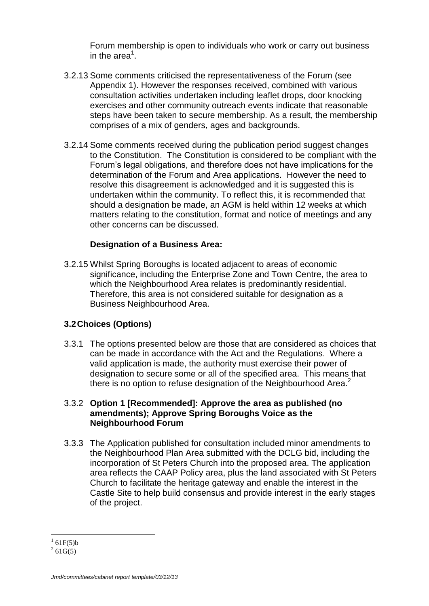Forum membership is open to individuals who work or carry out business in the area<sup>1</sup>.

- 3.2.13 Some comments criticised the representativeness of the Forum (see Appendix 1). However the responses received, combined with various consultation activities undertaken including leaflet drops, door knocking exercises and other community outreach events indicate that reasonable steps have been taken to secure membership. As a result, the membership comprises of a mix of genders, ages and backgrounds.
- 3.2.14 Some comments received during the publication period suggest changes to the Constitution. The Constitution is considered to be compliant with the Forum"s legal obligations, and therefore does not have implications for the determination of the Forum and Area applications. However the need to resolve this disagreement is acknowledged and it is suggested this is undertaken within the community. To reflect this, it is recommended that should a designation be made, an AGM is held within 12 weeks at which matters relating to the constitution, format and notice of meetings and any other concerns can be discussed.

### **Designation of a Business Area:**

3.2.15 Whilst Spring Boroughs is located adjacent to areas of economic significance, including the Enterprise Zone and Town Centre, the area to which the Neighbourhood Area relates is predominantly residential. Therefore, this area is not considered suitable for designation as a Business Neighbourhood Area.

# **3.2Choices (Options)**

3.3.1 The options presented below are those that are considered as choices that can be made in accordance with the Act and the Regulations. Where a valid application is made, the authority must exercise their power of designation to secure some or all of the specified area. This means that there is no option to refuse designation of the Neighbourhood Area. $2$ 

#### 3.3.2 **Option 1 [Recommended]: Approve the area as published (no amendments); Approve Spring Boroughs Voice as the Neighbourhood Forum**

3.3.3 The Application published for consultation included minor amendments to the Neighbourhood Plan Area submitted with the DCLG bid, including the incorporation of St Peters Church into the proposed area. The application area reflects the CAAP Policy area, plus the land associated with St Peters Church to facilitate the heritage gateway and enable the interest in the Castle Site to help build consensus and provide interest in the early stages of the project.

 $\overline{a}$  $161F(5)b$ 

 $^{2}$  61G(5)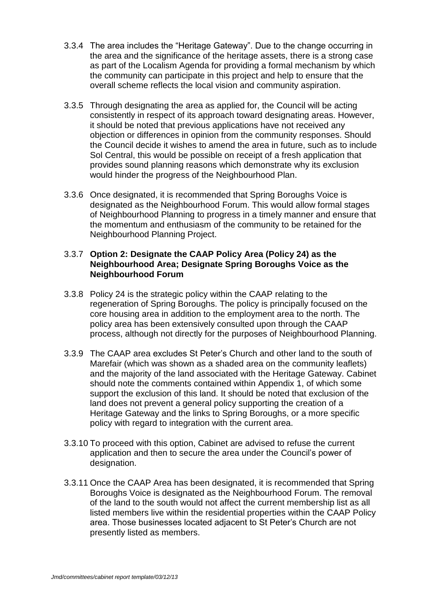- 3.3.4 The area includes the "Heritage Gateway". Due to the change occurring in the area and the significance of the heritage assets, there is a strong case as part of the Localism Agenda for providing a formal mechanism by which the community can participate in this project and help to ensure that the overall scheme reflects the local vision and community aspiration.
- 3.3.5 Through designating the area as applied for, the Council will be acting consistently in respect of its approach toward designating areas. However, it should be noted that previous applications have not received any objection or differences in opinion from the community responses. Should the Council decide it wishes to amend the area in future, such as to include Sol Central, this would be possible on receipt of a fresh application that provides sound planning reasons which demonstrate why its exclusion would hinder the progress of the Neighbourhood Plan.
- 3.3.6 Once designated, it is recommended that Spring Boroughs Voice is designated as the Neighbourhood Forum. This would allow formal stages of Neighbourhood Planning to progress in a timely manner and ensure that the momentum and enthusiasm of the community to be retained for the Neighbourhood Planning Project.

#### 3.3.7 **Option 2: Designate the CAAP Policy Area (Policy 24) as the Neighbourhood Area; Designate Spring Boroughs Voice as the Neighbourhood Forum**

- 3.3.8 Policy 24 is the strategic policy within the CAAP relating to the regeneration of Spring Boroughs. The policy is principally focused on the core housing area in addition to the employment area to the north. The policy area has been extensively consulted upon through the CAAP process, although not directly for the purposes of Neighbourhood Planning.
- 3.3.9 The CAAP area excludes St Peter"s Church and other land to the south of Marefair (which was shown as a shaded area on the community leaflets) and the majority of the land associated with the Heritage Gateway. Cabinet should note the comments contained within Appendix 1, of which some support the exclusion of this land. It should be noted that exclusion of the land does not prevent a general policy supporting the creation of a Heritage Gateway and the links to Spring Boroughs, or a more specific policy with regard to integration with the current area.
- 3.3.10 To proceed with this option, Cabinet are advised to refuse the current application and then to secure the area under the Council"s power of designation.
- 3.3.11 Once the CAAP Area has been designated, it is recommended that Spring Boroughs Voice is designated as the Neighbourhood Forum. The removal of the land to the south would not affect the current membership list as all listed members live within the residential properties within the CAAP Policy area. Those businesses located adjacent to St Peter"s Church are not presently listed as members.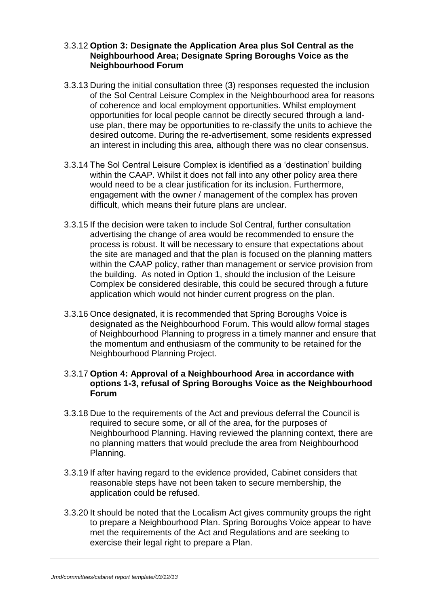#### 3.3.12 **Option 3: Designate the Application Area plus Sol Central as the Neighbourhood Area; Designate Spring Boroughs Voice as the Neighbourhood Forum**

- 3.3.13 During the initial consultation three (3) responses requested the inclusion of the Sol Central Leisure Complex in the Neighbourhood area for reasons of coherence and local employment opportunities. Whilst employment opportunities for local people cannot be directly secured through a landuse plan, there may be opportunities to re-classify the units to achieve the desired outcome. During the re-advertisement, some residents expressed an interest in including this area, although there was no clear consensus.
- 3.3.14 The Sol Central Leisure Complex is identified as a "destination" building within the CAAP. Whilst it does not fall into any other policy area there would need to be a clear justification for its inclusion. Furthermore, engagement with the owner / management of the complex has proven difficult, which means their future plans are unclear.
- 3.3.15 If the decision were taken to include Sol Central, further consultation advertising the change of area would be recommended to ensure the process is robust. It will be necessary to ensure that expectations about the site are managed and that the plan is focused on the planning matters within the CAAP policy, rather than management or service provision from the building. As noted in Option 1, should the inclusion of the Leisure Complex be considered desirable, this could be secured through a future application which would not hinder current progress on the plan.
- 3.3.16 Once designated, it is recommended that Spring Boroughs Voice is designated as the Neighbourhood Forum. This would allow formal stages of Neighbourhood Planning to progress in a timely manner and ensure that the momentum and enthusiasm of the community to be retained for the Neighbourhood Planning Project.

#### 3.3.17 **Option 4: Approval of a Neighbourhood Area in accordance with options 1-3, refusal of Spring Boroughs Voice as the Neighbourhood Forum**

- 3.3.18 Due to the requirements of the Act and previous deferral the Council is required to secure some, or all of the area, for the purposes of Neighbourhood Planning. Having reviewed the planning context, there are no planning matters that would preclude the area from Neighbourhood Planning.
- 3.3.19 If after having regard to the evidence provided, Cabinet considers that reasonable steps have not been taken to secure membership, the application could be refused.
- 3.3.20 It should be noted that the Localism Act gives community groups the right to prepare a Neighbourhood Plan. Spring Boroughs Voice appear to have met the requirements of the Act and Regulations and are seeking to exercise their legal right to prepare a Plan.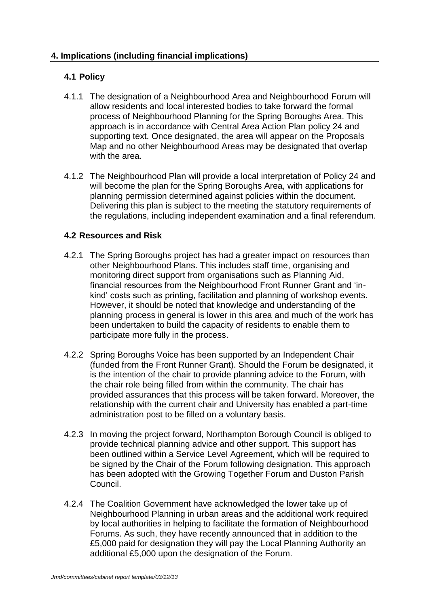# **4.1 Policy**

- 4.1.1 The designation of a Neighbourhood Area and Neighbourhood Forum will allow residents and local interested bodies to take forward the formal process of Neighbourhood Planning for the Spring Boroughs Area. This approach is in accordance with Central Area Action Plan policy 24 and supporting text. Once designated, the area will appear on the Proposals Map and no other Neighbourhood Areas may be designated that overlap with the area.
- 4.1.2 The Neighbourhood Plan will provide a local interpretation of Policy 24 and will become the plan for the Spring Boroughs Area, with applications for planning permission determined against policies within the document. Delivering this plan is subject to the meeting the statutory requirements of the regulations, including independent examination and a final referendum.

# **4.2 Resources and Risk**

- 4.2.1 The Spring Boroughs project has had a greater impact on resources than other Neighbourhood Plans. This includes staff time, organising and monitoring direct support from organisations such as Planning Aid, financial resources from the Neighbourhood Front Runner Grant and "inkind" costs such as printing, facilitation and planning of workshop events. However, it should be noted that knowledge and understanding of the planning process in general is lower in this area and much of the work has been undertaken to build the capacity of residents to enable them to participate more fully in the process.
- 4.2.2 Spring Boroughs Voice has been supported by an Independent Chair (funded from the Front Runner Grant). Should the Forum be designated, it is the intention of the chair to provide planning advice to the Forum, with the chair role being filled from within the community. The chair has provided assurances that this process will be taken forward. Moreover, the relationship with the current chair and University has enabled a part-time administration post to be filled on a voluntary basis.
- 4.2.3 In moving the project forward, Northampton Borough Council is obliged to provide technical planning advice and other support. This support has been outlined within a Service Level Agreement, which will be required to be signed by the Chair of the Forum following designation. This approach has been adopted with the Growing Together Forum and Duston Parish Council.
- 4.2.4 The Coalition Government have acknowledged the lower take up of Neighbourhood Planning in urban areas and the additional work required by local authorities in helping to facilitate the formation of Neighbourhood Forums. As such, they have recently announced that in addition to the £5,000 paid for designation they will pay the Local Planning Authority an additional £5,000 upon the designation of the Forum.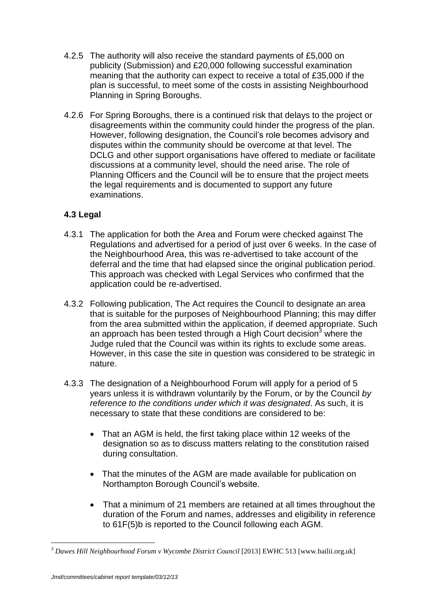- 4.2.5 The authority will also receive the standard payments of £5,000 on publicity (Submission) and £20,000 following successful examination meaning that the authority can expect to receive a total of £35,000 if the plan is successful, to meet some of the costs in assisting Neighbourhood Planning in Spring Boroughs.
- 4.2.6 For Spring Boroughs, there is a continued risk that delays to the project or disagreements within the community could hinder the progress of the plan. However, following designation, the Council"s role becomes advisory and disputes within the community should be overcome at that level. The DCLG and other support organisations have offered to mediate or facilitate discussions at a community level, should the need arise. The role of Planning Officers and the Council will be to ensure that the project meets the legal requirements and is documented to support any future examinations.

# **4.3 Legal**

- 4.3.1 The application for both the Area and Forum were checked against The Regulations and advertised for a period of just over 6 weeks. In the case of the Neighbourhood Area, this was re-advertised to take account of the deferral and the time that had elapsed since the original publication period. This approach was checked with Legal Services who confirmed that the application could be re-advertised.
- 4.3.2 Following publication, The Act requires the Council to designate an area that is suitable for the purposes of Neighbourhood Planning; this may differ from the area submitted within the application, if deemed appropriate. Such an approach has been tested through a High Court decision<sup>3</sup> where the Judge ruled that the Council was within its rights to exclude some areas. However, in this case the site in question was considered to be strategic in nature.
- 4.3.3 The designation of a Neighbourhood Forum will apply for a period of 5 years unless it is withdrawn voluntarily by the Forum, or by the Council *by reference to the conditions under which it was designated*. As such, it is necessary to state that these conditions are considered to be:
	- That an AGM is held, the first taking place within 12 weeks of the designation so as to discuss matters relating to the constitution raised during consultation.
	- That the minutes of the AGM are made available for publication on Northampton Borough Council"s website.
	- That a minimum of 21 members are retained at all times throughout the duration of the Forum and names, addresses and eligibility in reference to 61F(5)b is reported to the Council following each AGM.

 $\overline{a}$ 

<sup>&</sup>lt;sup>3</sup> Dawes Hill Neighbourhood Forum v Wycombe District Council [2013] EWHC 513 [www.bailii.org.uk]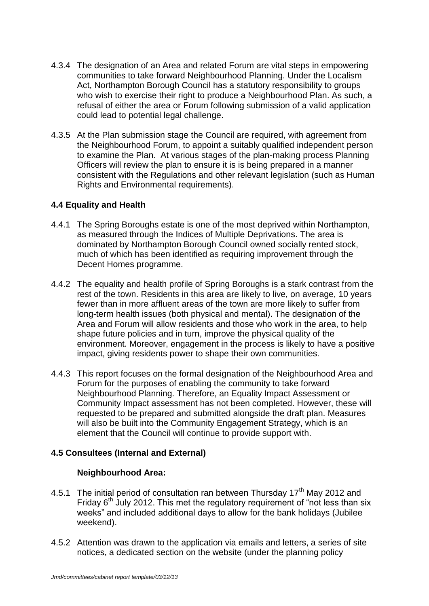- 4.3.4 The designation of an Area and related Forum are vital steps in empowering communities to take forward Neighbourhood Planning. Under the Localism Act, Northampton Borough Council has a statutory responsibility to groups who wish to exercise their right to produce a Neighbourhood Plan. As such, a refusal of either the area or Forum following submission of a valid application could lead to potential legal challenge.
- 4.3.5 At the Plan submission stage the Council are required, with agreement from the Neighbourhood Forum, to appoint a suitably qualified independent person to examine the Plan. At various stages of the plan-making process Planning Officers will review the plan to ensure it is is being prepared in a manner consistent with the Regulations and other relevant legislation (such as Human Rights and Environmental requirements).

### **4.4 Equality and Health**

- 4.4.1 The Spring Boroughs estate is one of the most deprived within Northampton, as measured through the Indices of Multiple Deprivations. The area is dominated by Northampton Borough Council owned socially rented stock, much of which has been identified as requiring improvement through the Decent Homes programme.
- 4.4.2 The equality and health profile of Spring Boroughs is a stark contrast from the rest of the town. Residents in this area are likely to live, on average, 10 years fewer than in more affluent areas of the town are more likely to suffer from long-term health issues (both physical and mental). The designation of the Area and Forum will allow residents and those who work in the area, to help shape future policies and in turn, improve the physical quality of the environment. Moreover, engagement in the process is likely to have a positive impact, giving residents power to shape their own communities.
- 4.4.3 This report focuses on the formal designation of the Neighbourhood Area and Forum for the purposes of enabling the community to take forward Neighbourhood Planning. Therefore, an Equality Impact Assessment or Community Impact assessment has not been completed. However, these will requested to be prepared and submitted alongside the draft plan. Measures will also be built into the Community Engagement Strategy, which is an element that the Council will continue to provide support with.

# **4.5 Consultees (Internal and External)**

#### **Neighbourhood Area:**

- 4.5.1 The initial period of consultation ran between Thursday  $17<sup>th</sup>$  May 2012 and Friday  $6<sup>th</sup>$  July 2012. This met the regulatory requirement of "not less than six weeks" and included additional days to allow for the bank holidays (Jubilee weekend).
- 4.5.2 Attention was drawn to the application via emails and letters, a series of site notices, a dedicated section on the website (under the planning policy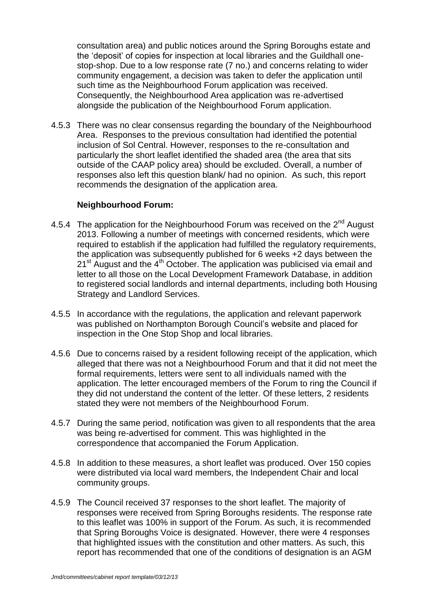consultation area) and public notices around the Spring Boroughs estate and the "deposit" of copies for inspection at local libraries and the Guildhall onestop-shop. Due to a low response rate (7 no.) and concerns relating to wider community engagement, a decision was taken to defer the application until such time as the Neighbourhood Forum application was received. Consequently, the Neighbourhood Area application was re-advertised alongside the publication of the Neighbourhood Forum application.

4.5.3 There was no clear consensus regarding the boundary of the Neighbourhood Area. Responses to the previous consultation had identified the potential inclusion of Sol Central. However, responses to the re-consultation and particularly the short leaflet identified the shaded area (the area that sits outside of the CAAP policy area) should be excluded. Overall, a number of responses also left this question blank/ had no opinion. As such, this report recommends the designation of the application area.

#### **Neighbourhood Forum:**

- 4.5.4 The application for the Neighbourhood Forum was received on the 2<sup>nd</sup> August 2013. Following a number of meetings with concerned residents, which were required to establish if the application had fulfilled the regulatory requirements, the application was subsequently published for 6 weeks +2 days between the  $21<sup>st</sup>$  August and the 4<sup>th</sup> October. The application was publicised via email and letter to all those on the Local Development Framework Database, in addition to registered social landlords and internal departments, including both Housing Strategy and Landlord Services.
- 4.5.5 In accordance with the regulations, the application and relevant paperwork was published on Northampton Borough Council"s website and placed for inspection in the One Stop Shop and local libraries.
- 4.5.6 Due to concerns raised by a resident following receipt of the application, which alleged that there was not a Neighbourhood Forum and that it did not meet the formal requirements, letters were sent to all individuals named with the application. The letter encouraged members of the Forum to ring the Council if they did not understand the content of the letter. Of these letters, 2 residents stated they were not members of the Neighbourhood Forum.
- 4.5.7 During the same period, notification was given to all respondents that the area was being re-advertised for comment. This was highlighted in the correspondence that accompanied the Forum Application.
- 4.5.8 In addition to these measures, a short leaflet was produced. Over 150 copies were distributed via local ward members, the Independent Chair and local community groups.
- 4.5.9 The Council received 37 responses to the short leaflet. The majority of responses were received from Spring Boroughs residents. The response rate to this leaflet was 100% in support of the Forum. As such, it is recommended that Spring Boroughs Voice is designated. However, there were 4 responses that highlighted issues with the constitution and other matters. As such, this report has recommended that one of the conditions of designation is an AGM